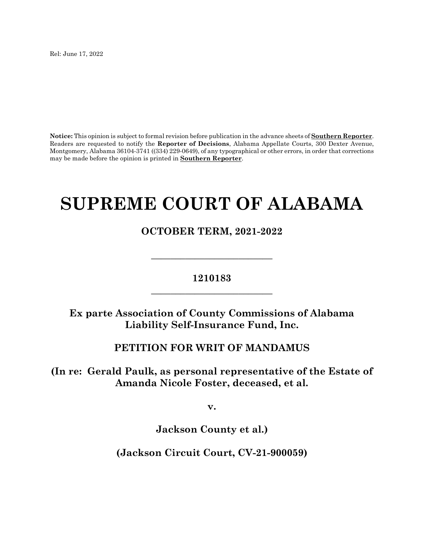Rel: June 17, 2022

**Notice:** This opinion is subject to formal revision before publication in the advance sheets of **Southern Reporter**. Readers are requested to notify the **Reporter of Decisions**, Alabama Appellate Courts, 300 Dexter Avenue, Montgomery, Alabama 36104-3741 ((334) 229-0649), of any typographical or other errors, in order that corrections may be made before the opinion is printed in **Southern Reporter**.

# **SUPREME COURT OF ALABAMA**

**OCTOBER TERM, 2021-2022**

# **1210183 \_\_\_\_\_\_\_\_\_\_\_\_\_\_\_\_\_\_\_\_\_\_\_\_\_**

**\_\_\_\_\_\_\_\_\_\_\_\_\_\_\_\_\_\_\_\_\_\_\_\_\_**

**Ex parte Association of County Commissions of Alabama Liability Self-Insurance Fund, Inc.**

### **PETITION FOR WRIT OF MANDAMUS**

**(In re: Gerald Paulk, as personal representative of the Estate of Amanda Nicole Foster, deceased, et al.** 

**v.**

**Jackson County et al.)**

**(Jackson Circuit Court, CV-21-900059)**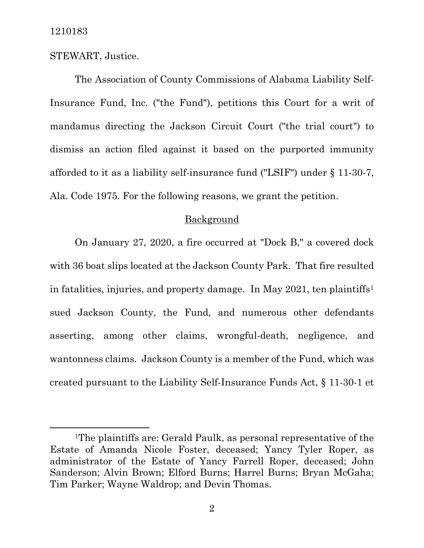STEWART, Justice.

The Association of County Commissions of Alabama Liability Self-Insurance Fund, Inc. ("the Fund"), petitions this Court for a writ of mandamus directing the Jackson Circuit Court ("the trial court") to dismiss an action filed against it based on the purported immunity afforded to it as a liability self-insurance fund ("LSIF") under § 11-30-7, Ala. Code 1975. For the following reasons, we grant the petition.

## Background

On January 27, 2020, a fire occurred at "Dock B," a covered dock with 36 boat slips located at the Jackson County Park. That fire resulted in fatalities, injuries, and property damage. In May 202[1](#page-1-0), ten plaintiffs<sup>1</sup> sued Jackson County, the Fund, and numerous other defendants asserting, among other claims, wrongful-death, negligence, and wantonness claims. Jackson County is a member of the Fund, which was created pursuant to the Liability Self-Insurance Funds Act, § 11-30-1 et

<span id="page-1-0"></span><sup>1</sup>The plaintiffs are: Gerald Paulk, as personal representative of the Estate of Amanda Nicole Foster, deceased; Yancy Tyler Roper, as administrator of the Estate of Yancy Farrell Roper, deceased; John Sanderson; Alvin Brown; Elford Burns; Harrel Burns; Bryan McGaha; Tim Parker; Wayne Waldrop; and Devin Thomas.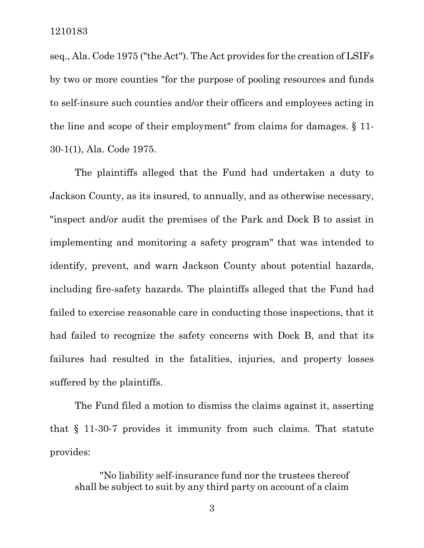seq., Ala. Code 1975 ("the Act"). The Act provides for the creation of LSIFs by two or more counties "for the purpose of pooling resources and funds to self-insure such counties and/or their officers and employees acting in the line and scope of their employment" from claims for damages. § 11- 30-1(1), Ala. Code 1975.

The plaintiffs alleged that the Fund had undertaken a duty to Jackson County, as its insured, to annually, and as otherwise necessary, "inspect and/or audit the premises of the Park and Dock B to assist in implementing and monitoring a safety program" that was intended to identify, prevent, and warn Jackson County about potential hazards, including fire-safety hazards. The plaintiffs alleged that the Fund had failed to exercise reasonable care in conducting those inspections, that it had failed to recognize the safety concerns with Dock B, and that its failures had resulted in the fatalities, injuries, and property losses suffered by the plaintiffs.

The Fund filed a motion to dismiss the claims against it, asserting that § 11-30-7 provides it immunity from such claims. That statute provides:

"No liability self-insurance fund nor the trustees thereof shall be subject to suit by any third party on account of a claim

3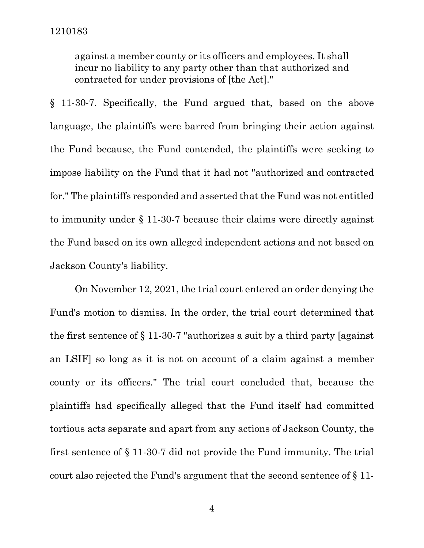against a member county or its officers and employees. It shall incur no liability to any party other than that authorized and contracted for under provisions of [the Act]."

§ 11-30-7. Specifically, the Fund argued that, based on the above language, the plaintiffs were barred from bringing their action against the Fund because, the Fund contended, the plaintiffs were seeking to impose liability on the Fund that it had not "authorized and contracted for." The plaintiffs responded and asserted that the Fund was not entitled to immunity under § 11-30-7 because their claims were directly against the Fund based on its own alleged independent actions and not based on Jackson County's liability.

On November 12, 2021, the trial court entered an order denying the Fund's motion to dismiss. In the order, the trial court determined that the first sentence of § 11-30-7 "authorizes a suit by a third party [against an LSIF] so long as it is not on account of a claim against a member county or its officers." The trial court concluded that, because the plaintiffs had specifically alleged that the Fund itself had committed tortious acts separate and apart from any actions of Jackson County, the first sentence of § 11-30-7 did not provide the Fund immunity. The trial court also rejected the Fund's argument that the second sentence of § 11-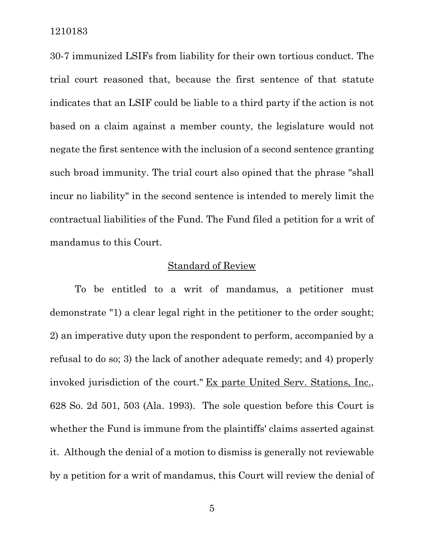30-7 immunized LSIFs from liability for their own tortious conduct. The trial court reasoned that, because the first sentence of that statute indicates that an LSIF could be liable to a third party if the action is not based on a claim against a member county, the legislature would not negate the first sentence with the inclusion of a second sentence granting such broad immunity. The trial court also opined that the phrase "shall incur no liability" in the second sentence is intended to merely limit the contractual liabilities of the Fund. The Fund filed a petition for a writ of mandamus to this Court.

#### Standard of Review

To be entitled to a writ of mandamus, a petitioner must demonstrate "1) a clear legal right in the petitioner to the order sought; 2) an imperative duty upon the respondent to perform, accompanied by a refusal to do so; 3) the lack of another adequate remedy; and 4) properly invoked jurisdiction of the court." Ex parte United Serv. Stations, Inc., 628 So. 2d 501, 503 (Ala. 1993). The sole question before this Court is whether the Fund is immune from the plaintiffs' claims asserted against it. Although the denial of a motion to dismiss is generally not reviewable by a petition for a writ of mandamus, this Court will review the denial of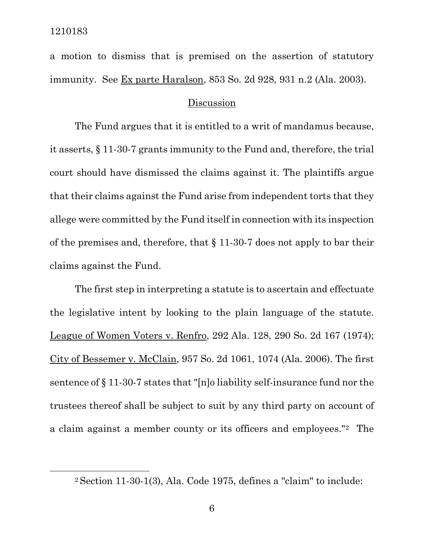a motion to dismiss that is premised on the assertion of statutory immunity. See Ex parte Haralson, 853 So. 2d 928, 931 n.2 (Ala. 2003).

#### Discussion

The Fund argues that it is entitled to a writ of mandamus because, it asserts, § 11-30-7 grants immunity to the Fund and, therefore, the trial court should have dismissed the claims against it. The plaintiffs argue that their claims against the Fund arise from independent torts that they allege were committed by the Fund itself in connection with its inspection of the premises and, therefore, that § 11-30-7 does not apply to bar their claims against the Fund.

The first step in interpreting a statute is to ascertain and effectuate the legislative intent by looking to the plain language of the statute. League of Women Voters v. Renfro, 292 Ala. 128, 290 So. 2d 167 (1974); City of Bessemer v. McClain, 957 So. 2d 1061, 1074 (Ala. 2006). The first sentence of § 11-30-7 states that "[n]o liability self-insurance fund nor the trustees thereof shall be subject to suit by any third party on account of a claim against a member county or its officers and employees."[2](#page-5-0) The

<span id="page-5-0"></span><sup>2</sup> Section 11-30-1(3), Ala. Code 1975, defines a "claim" to include: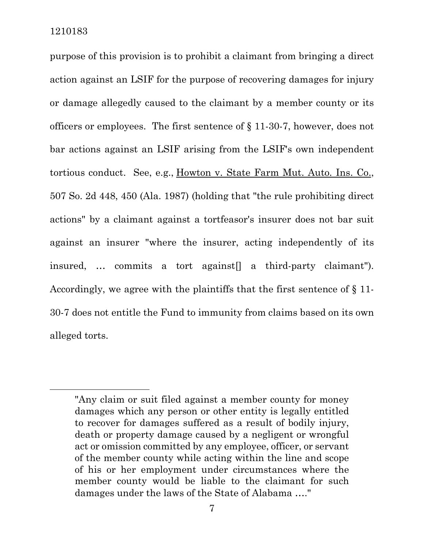purpose of this provision is to prohibit a claimant from bringing a direct action against an LSIF for the purpose of recovering damages for injury or damage allegedly caused to the claimant by a member county or its officers or employees. The first sentence of § 11-30-7, however, does not bar actions against an LSIF arising from the LSIF's own independent tortious conduct. See, e.g., Howton v. State Farm Mut. Auto. Ins. Co., 507 So. 2d 448, 450 (Ala. 1987) (holding that "the rule prohibiting direct actions" by a claimant against a tortfeasor's insurer does not bar suit against an insurer "where the insurer, acting independently of its insured, … commits a tort against[] a third-party claimant"). Accordingly, we agree with the plaintiffs that the first sentence of § 11- 30-7 does not entitle the Fund to immunity from claims based on its own alleged torts.

<sup>&</sup>quot;Any claim or suit filed against a member county for money damages which any person or other entity is legally entitled to recover for damages suffered as a result of bodily injury, death or property damage caused by a negligent or wrongful act or omission committed by any employee, officer, or servant of the member county while acting within the line and scope of his or her employment under circumstances where the member county would be liable to the claimant for such damages under the laws of the State of Alabama …."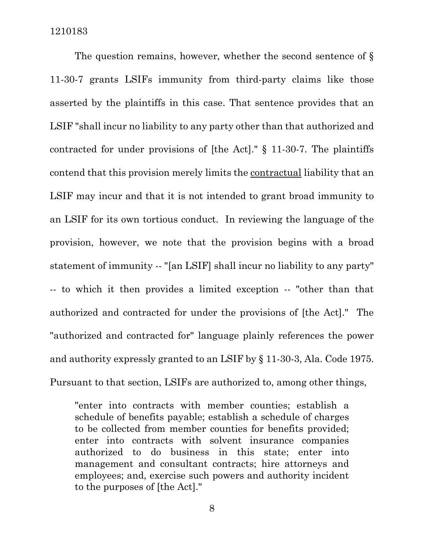The question remains, however, whether the second sentence of § 11-30-7 grants LSIFs immunity from third-party claims like those asserted by the plaintiffs in this case. That sentence provides that an LSIF "shall incur no liability to any party other than that authorized and contracted for under provisions of [the Act]." § 11-30-7. The plaintiffs contend that this provision merely limits the contractual liability that an LSIF may incur and that it is not intended to grant broad immunity to an LSIF for its own tortious conduct. In reviewing the language of the provision, however, we note that the provision begins with a broad statement of immunity -- "[an LSIF] shall incur no liability to any party" -- to which it then provides a limited exception -- "other than that authorized and contracted for under the provisions of [the Act]." The "authorized and contracted for" language plainly references the power and authority expressly granted to an LSIF by § 11-30-3, Ala. Code 1975. Pursuant to that section, LSIFs are authorized to, among other things,

"enter into contracts with member counties; establish a schedule of benefits payable; establish a schedule of charges to be collected from member counties for benefits provided; enter into contracts with solvent insurance companies authorized to do business in this state; enter into management and consultant contracts; hire attorneys and employees; and, exercise such powers and authority incident to the purposes of [the Act]."

8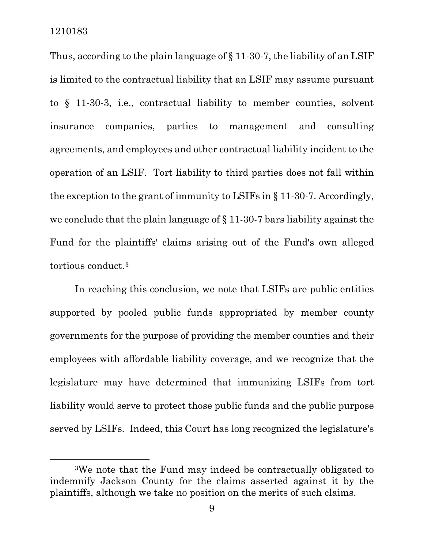Thus, according to the plain language of § 11-30-7, the liability of an LSIF is limited to the contractual liability that an LSIF may assume pursuant to § 11-30-3, i.e., contractual liability to member counties, solvent insurance companies, parties to management and consulting agreements, and employees and other contractual liability incident to the operation of an LSIF. Tort liability to third parties does not fall within the exception to the grant of immunity to LSIFs in § 11-30-7. Accordingly, we conclude that the plain language of § 11-30-7 bars liability against the Fund for the plaintiffs' claims arising out of the Fund's own alleged tortious conduct.[3](#page-8-0)

In reaching this conclusion, we note that LSIFs are public entities supported by pooled public funds appropriated by member county governments for the purpose of providing the member counties and their employees with affordable liability coverage, and we recognize that the legislature may have determined that immunizing LSIFs from tort liability would serve to protect those public funds and the public purpose served by LSIFs. Indeed, this Court has long recognized the legislature's

<span id="page-8-0"></span><sup>3</sup>We note that the Fund may indeed be contractually obligated to indemnify Jackson County for the claims asserted against it by the plaintiffs, although we take no position on the merits of such claims.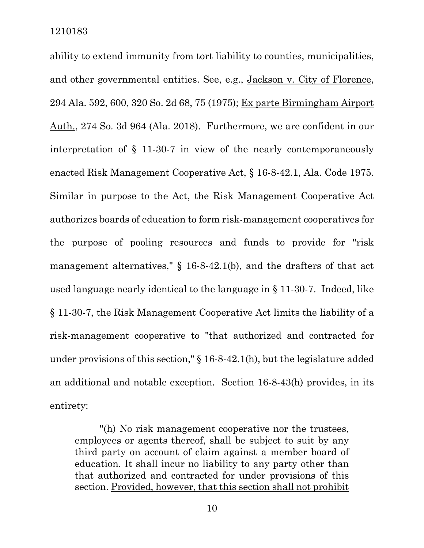ability to extend immunity from tort liability to counties, municipalities, and other governmental entities. See, e.g., Jackson v. City of Florence, 294 Ala. 592, 600, 320 So. 2d 68, 75 (1975); Ex parte Birmingham Airport Auth., 274 So. 3d 964 (Ala. 2018). Furthermore, we are confident in our interpretation of § 11-30-7 in view of the nearly contemporaneously enacted Risk Management Cooperative Act, § 16-8-42.1, Ala. Code 1975. Similar in purpose to the Act, the Risk Management Cooperative Act authorizes boards of education to form risk-management cooperatives for the purpose of pooling resources and funds to provide for "risk management alternatives," § 16-8-42.1(b), and the drafters of that act used language nearly identical to the language in § 11-30-7. Indeed, like § 11-30-7, the Risk Management Cooperative Act limits the liability of a risk-management cooperative to "that authorized and contracted for under provisions of this section," § 16-8-42.1(h), but the legislature added an additional and notable exception. Section 16-8-43(h) provides, in its entirety:

"(h) No risk management cooperative nor the trustees, employees or agents thereof, shall be subject to suit by any third party on account of claim against a member board of education. It shall incur no liability to any party other than that authorized and contracted for under provisions of this section. Provided, however, that this section shall not prohibit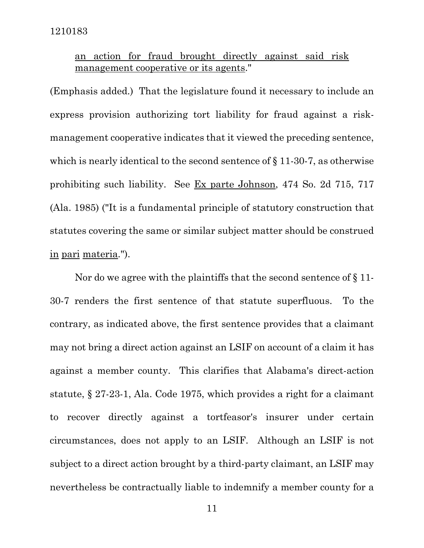# an action for fraud brought directly against said risk management cooperative or its agents."

(Emphasis added.) That the legislature found it necessary to include an express provision authorizing tort liability for fraud against a riskmanagement cooperative indicates that it viewed the preceding sentence, which is nearly identical to the second sentence of  $\S 11-30-7$ , as otherwise prohibiting such liability. See Ex parte Johnson, 474 So. 2d 715, 717 (Ala. 1985) ("It is a fundamental principle of statutory construction that statutes covering the same or similar subject matter should be construed in pari materia.").

Nor do we agree with the plaintiffs that the second sentence of § 11- 30-7 renders the first sentence of that statute superfluous. To the contrary, as indicated above, the first sentence provides that a claimant may not bring a direct action against an LSIF on account of a claim it has against a member county. This clarifies that Alabama's direct-action statute, § 27-23-1, Ala. Code 1975, which provides a right for a claimant to recover directly against a tortfeasor's insurer under certain circumstances, does not apply to an LSIF. Although an LSIF is not subject to a direct action brought by a third-party claimant, an LSIF may nevertheless be contractually liable to indemnify a member county for a